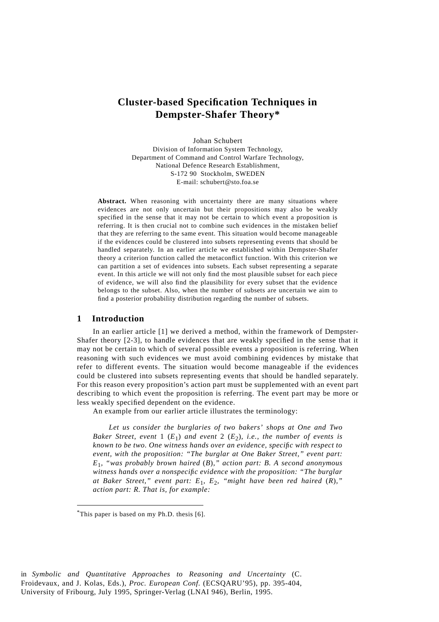# **Cluster-based Specification Techniques in Dempster-Shafer Theory\***

Johan Schubert Division of Information System Technology, Department of Command and Control Warfare Technology, National Defence Research Establishment, S-172 90 Stockholm, SWEDEN E-mail: schubert@sto.foa.se

Abstract. When reasoning with uncertainty there are many situations where evidences are not only uncertain but their propositions may also be weakly specified in the sense that it may not be certain to which event a proposition is referring. It is then crucial not to combine such evidences in the mistaken belief that they are referring to the same event. This situation would become manageable if the evidences could be clustered into subsets representing events that should be handled separately. In an earlier article we established within Dempster-Shafer theory a criterion function called the metaconflict function. With this criterion we can partition a set of evidences into subsets. Each subset representing a separate event. In this article we will not only find the most plausible subset for each piece of evidence, we will also find the plausibility for every subset that the evidence belongs to the subset. Also, when the number of subsets are uncertain we aim to find a posterior probability distribution regarding the number of subsets.

# **1 Introduction**

In an earlier article [1] we derived a method, within the framework of Dempster-Shafer theory [2-3], to handle evidences that are weakly specified in the sense that it may not be certain to which of several possible events a proposition is referring. When reasoning with such evidences we must avoid combining evidences by mistake that refer to different events. The situation would become manageable if the evidences could be clustered into subsets representing events that should be handled separately. For this reason every proposition's action part must be supplemented with an event part describing to which event the proposition is referring. The event part may be more or less weakly specified dependent on the evidence.

An example from our earlier article illustrates the terminology:

*Let us consider the burglaries of two bakers' shops at One and Two Baker Street, event* 1  $(E_1)$  *and event* 2  $(E_2)$ *, i.e., the number of events is known to be two. One witness hands over an evidence, specific with respect to event, with the proposition: "The burglar at One Baker Street," event part: E*1*, "was probably brown haired* (*B*)*," action part: B. A second anonymous witness hands over a nonspecific evidence with the proposition: "The burglar at Baker Street," event part: E*1*, E*2*, "might have been red haired* (*R*)*," action part: R. That is, for example:*

<sup>\*</sup>This paper is based on my Ph.D. thesis [6].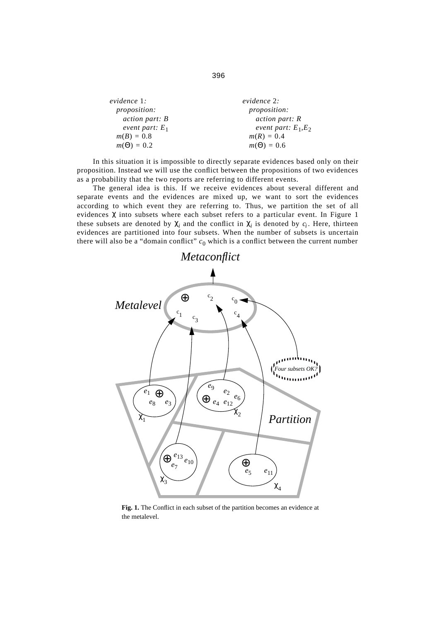| evidence 1:           | evidence 2:            |
|-----------------------|------------------------|
| <i>proposition:</i>   | proposition:           |
| <i>action part: B</i> | <i>action part: R</i>  |
| event part: $E_1$     | event part: $E_1, E_2$ |
| $m(B) = 0.8$          | $m(R) = 0.4$           |
| $m(\Theta) = 0.2$     | $m(\Theta) = 0.6$      |

In this situation it is impossible to directly separate evidences based only on their proposition. Instead we will use the conflict between the propositions of two evidences as a probability that the two reports are referring to different events.

The general idea is this. If we receive evidences about several different and separate events and the evidences are mixed up, we want to sort the evidences according to which event they are referring to. Thus, we partition the set of all evidences  $\chi$  into subsets where each subset refers to a particular event. In Figure 1 these subsets are denoted by  $\chi_i$  and the conflict in  $\chi_i$  is denoted by  $c_i$ . Here, thirteen evidences are partitioned into four subsets. When the number of subsets is uncertain there will also be a "domain conflict"  $c_0$  which is a conflict between the current number



**Fig. 1.** The Conflict in each subset of the partition becomes an evidence at the metalevel.

396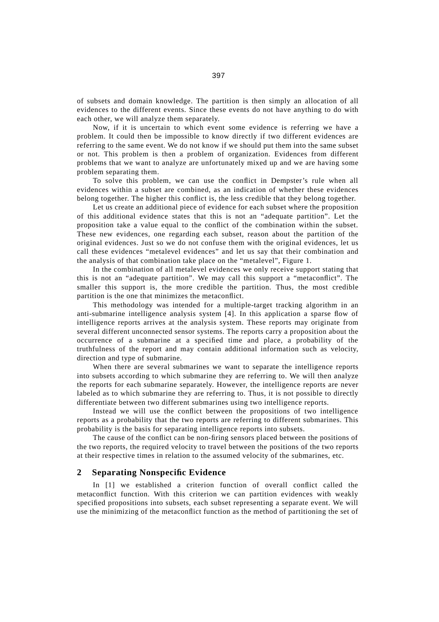of subsets and domain knowledge. The partition is then simply an allocation of all evidences to the different events. Since these events do not have anything to do with each other, we will analyze them separately.

Now, if it is uncertain to which event some evidence is referring we have a problem. It could then be impossible to know directly if two different evidences are referring to the same event. We do not know if we should put them into the same subset or not. This problem is then a problem of organization. Evidences from different problems that we want to analyze are unfortunately mixed up and we are having some problem separating them.

To solve this problem, we can use the conflict in Dempster's rule when all evidences within a subset are combined, as an indication of whether these evidences belong together. The higher this conflict is, the less credible that they belong together.

Let us create an additional piece of evidence for each subset where the proposition of this additional evidence states that this is not an "adequate partition". Let the proposition take a value equal to the conflict of the combination within the subset. These new evidences, one regarding each subset, reason about the partition of the original evidences. Just so we do not confuse them with the original evidences, let us call these evidences "metalevel evidences" and let us say that their combination and the analysis of that combination take place on the "metalevel", Figure 1.

In the combination of all metalevel evidences we only receive support stating that this is not an "adequate partition". We may call this support a "metaconflict". The smaller this support is, the more credible the partition. Thus, the most credible partition is the one that minimizes the metaconflict.

This methodology was intended for a multiple-target tracking algorithm in an anti-submarine intelligence analysis system [4]. In this application a sparse flow of intelligence reports arrives at the analysis system. These reports may originate from several different unconnected sensor systems. The reports carry a proposition about the occurrence of a submarine at a specified time and place, a probability of the truthfulness of the report and may contain additional information such as velocity, direction and type of submarine.

When there are several submarines we want to separate the intelligence reports into subsets according to which submarine they are referring to. We will then analyze the reports for each submarine separately. However, the intelligence reports are never labeled as to which submarine they are referring to. Thus, it is not possible to directly differentiate between two different submarines using two intelligence reports.

Instead we will use the conflict between the propositions of two intelligence reports as a probability that the two reports are referring to different submarines. This probability is the basis for separating intelligence reports into subsets.

The cause of the conflict can be non-firing sensors placed between the positions of the two reports, the required velocity to travel between the positions of the two reports at their respective times in relation to the assumed velocity of the submarines, etc.

# **2 Separating Nonspecific Evidence**

In [1] we established a criterion function of overall conflict called the metaconflict function. With this criterion we can partition evidences with weakly specified propositions into subsets, each subset representing a separate event. We will use the minimizing of the metaconflict function as the method of partitioning the set of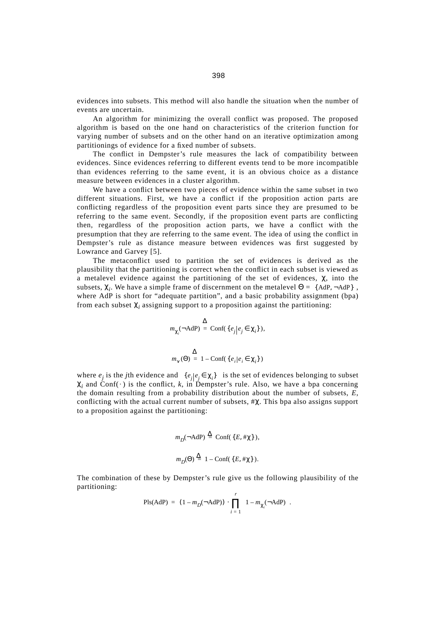evidences into subsets. This method will also handle the situation when the number of events are uncertain.

An algorithm for minimizing the overall conflict was proposed. The proposed algorithm is based on the one hand on characteristics of the criterion function for varying number of subsets and on the other hand on an iterative optimization among partitionings of evidence for a fixed number of subsets.

The conflict in Dempster's rule measures the lack of compatibility between evidences. Since evidences referring to different events tend to be more incompatible than evidences referring to the same event, it is an obvious choice as a distance measure between evidences in a cluster algorithm.

We have a conflict between two pieces of evidence within the same subset in two different situations. First, we have a conflict if the proposition action parts are conflicting regardless of the proposition event parts since they are presumed to be referring to the same event. Secondly, if the proposition event parts are conflicting then, regardless of the proposition action parts, we have a conflict with the presumption that they are referring to the same event. The idea of using the conflict in Dempster's rule as distance measure between evidences was first suggested by Lowrance and Garvey [5].

The metaconflict used to partition the set of evidences is derived as the plausibility that the partitioning is correct when the conflict in each subset is viewed as a metalevel evidence against the partitioning of the set of evidences, χ, into the subsets,  $\chi_i$ . We have a simple frame of discernment on the metalevel  $\Theta = \{ \text{AdP}, \neg \text{AdP} \}$ , where AdP is short for "adequate partition", and a basic probability assignment (bpa) from each subset  $\chi_i$  assigning support to a proposition against the partitioning:

$$
m_{\chi_i}(\neg \text{AdP}) \stackrel{\Delta}{=} \text{Conf}(\{e_j | e_j \in \chi_i\}),
$$
  

$$
\Delta
$$
  

$$
m_{\chi}(\Theta) = 1 - \text{Conf}(\{e_i | e_i \in \chi_i\})
$$

where  $e_j$  is the *j*th evidence and  $\{e_j | e_j \in \chi_i\}$  is the set of evidences belonging to subset  $\chi_i$  and Conf( $\cdot$ ) is the conflict, *k*, in Dempster's rule. Also, we have a bpa concerning the domain resulting from a probability distribution about the number of subsets, *E*, conflicting with the actual current number of subsets, #χ. This bpa also assigns support to a proposition against the partitioning:

$$
m_D(\neg \text{AdP}) \stackrel{\Delta}{=} \text{Conf}(\{E, \#\chi\}),
$$
  

$$
m_D(\Theta) \stackrel{\Delta}{=} 1 - \text{Conf}(\{E, \#\chi\}).
$$

The combination of these by Dempster's rule give us the following plausibility of the partitioning:

$$
\text{Pls}(\text{AdP}) = (1 - m_D(\neg \text{AdP})) \cdot \prod_{i=1}^r \bigg(1 - m_{\chi_i}(\neg \text{AdP})\bigg).
$$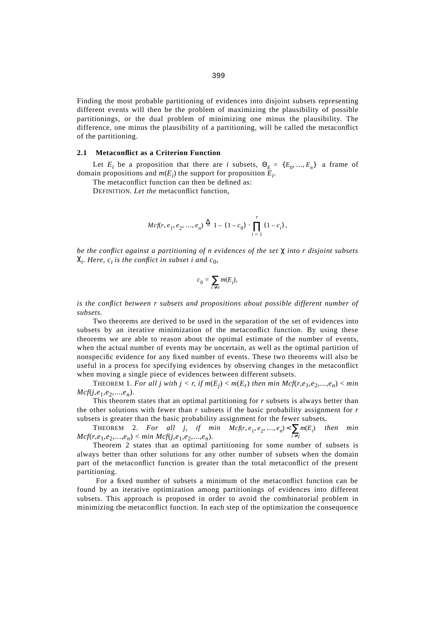Finding the most probable partitioning of evidences into disjoint subsets representing different events will then be the problem of maximizing the plausibility of possible partitionings, or the dual problem of minimizing one minus the plausibility. The difference, one minus the plausibility of a partitioning, will be called the metaconflict of the partitioning.

### **2.1 Metaconflict as a Criterion Function**

Let  $E_i$  be a proposition that there are *i* subsets,  $\Theta_E = \{E_0, ..., E_n\}$  a frame of domain propositions and  $m(E_i)$  the support for proposition  $E_i$ .

The metaconflict function can then be defined as:

DEFINITION*. Let the* metaconflict function,

$$
Mcf(r, e_1, e_2, ..., e_n) \stackrel{\Delta}{=} 1 - (1 - c_0) \cdot \prod_{i=1}^r (1 - c_i),
$$

*be the conflict against a partitioning of n evidences of the set* χ *into r disjoint subsets*  $\chi_i$ . Here,  $c_i$  *is the conflict in subset i and c*<sub>0</sub>,

$$
c_0=\sum_{i\,\neq\,r}m(E_i),
$$

*is the conflict between r subsets and propositions about possible different number of subsets.*

Two theorems are derived to be used in the separation of the set of evidences into subsets by an iterative minimization of the metaconflict function. By using these theorems we are able to reason about the optimal estimate of the number of events, when the actual number of events may be uncertain, as well as the optimal partition of nonspecific evidence for any fixed number of events. These two theorems will also be useful in a process for specifying evidences by observing changes in the metaconflict when moving a single piece of evidences between different subsets.

THEOREM 1. For all j with  $j < r$ , if  $m(E_i) < m(E_r)$  then min  $Mcf(r, e_1, e_2, \ldots, e_n) < min$  $Mcf(i, e_1, e_2, \ldots, e_n).$ 

This theorem states that an optimal partitioning for *r* subsets is always better than the other solutions with fewer than *r* subsets if the basic probability assignment for *r* subsets is greater than the basic probability assignment for the fewer subsets.

THEOREM 2. *For all j, if min*  $Mcf(r, e_1, e_2, ..., e_n) < \sum_{i \neq j} m(E_i)$  then min<br>*r.e.*,  $e_1, e_2, ..., e_n$  (*min Mcf(i.e.,e.*, *e., )*,  $Mcf(r, e_1, e_2, \ldots, e_n) < min Mcf(j, e_1, e_2, \ldots, e_n).$ 

Theorem 2 states that an optimal partitioning for some number of subsets is always better than other solutions for any other number of subsets when the domain part of the metaconflict function is greater than the total metaconflict of the present partitioning.

 For a fixed number of subsets a minimum of the metaconflict function can be found by an iterative optimization among partitionings of evidences into different subsets. This approach is proposed in order to avoid the combinatorial problem in minimizing the metaconflict function. In each step of the optimization the consequence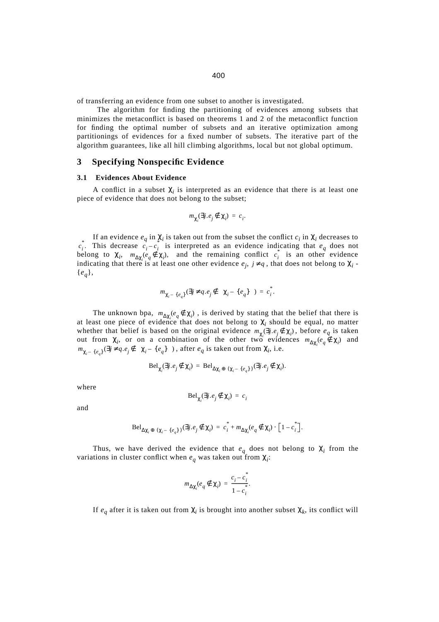of transferring an evidence from one subset to another is investigated.

 The algorithm for finding the partitioning of evidences among subsets that minimizes the metaconflict is based on theorems 1 and 2 of the metaconflict function for finding the optimal number of subsets and an iterative optimization among partitionings of evidences for a fixed number of subsets. The iterative part of the algorithm guarantees, like all hill climbing algorithms, local but not global optimum.

### **3 Specifying Nonspecific Evidence**

#### **3.1 Evidences About Evidence**

A conflict in a subset  $\chi_i$  is interpreted as an evidence that there is at least one piece of evidence that does not belong to the subset;

$$
m_{\chi_i}(\exists j.e_j \notin \chi_i) = c_i.
$$

If an evidence  $e_q$  in  $\chi_i$  is taken out from the subset the conflict  $c_i$  in  $\chi_i$  decreases to  $c_i^*$ . This decrease  $c_i^* - c_i^*$  is interpreted as an evidence indicating that  $e_q$  does not belong to  $\chi_i$ ,  $m_{\Delta \chi_i}(e_q \notin \chi_i)$ , and the remaining conflict  $c_i^*$  is an other evidence indicating that there is at least one other evidence  $e_j$ ,  $j \neq q$ , that does not belong to  $\chi_i$ . {*eq*},

$$
m_{\chi_i - \{e_q\}}(\exists j \neq q.e_j \notin \left(\chi_i - \{e_q\}\right)) = c_i^*.
$$

The unknown bpa,  $m_{\Delta\chi_i}(e_q \notin \chi_i)$ , is derived by stating that the belief that there is at least one piece of evidence that does not belong to  $\chi_i$  should be equal, no matter whether that belief is based on the original evidence  $m_{\chi_i}(\exists j \cdot e_j \notin \chi_i)$ , before  $e_q$  is taken out from  $\chi_i$ , or on a combination of the other two evidences  $m_{\Delta \chi_i}(e_q \notin \chi_i)$  and  $m_{\chi_i - \{e_q\}}(\exists j \neq q.e_j \notin \{ \chi_i - \{e_q\} \})$ , after  $e_q$  is taken out from  $\chi_i$ , i.e.

$$
\text{Bel}_{\chi_i}(\exists j.e_j \notin \chi_i) \ = \ \text{Bel}_{\Delta \chi_i \oplus (\chi_i - \{e_q\})}(\exists j.e_j \notin \chi_i).
$$

where

$$
\text{Bel}_{\chi_i}(\exists j.e_j\notin \chi_i)\,=\,c_i
$$

and

$$
\mathrm{Bel}_{\Delta\chi_i\oplus(\chi_i-\{e_q\})}(\exists j.e_j \notin \chi_i) = c_i^* + m_{\Delta\chi_i}(e_q \notin \chi_i) \cdot \left[1-c_i^*\right].
$$

Thus, we have derived the evidence that  $e_q$  does not belong to  $\chi_i$  from the variations in cluster conflict when  $e_q$  was taken out from  $\chi_i$ :

$$
m_{\Delta \chi_i}(e_q \notin \chi_i) = \frac{c_i - c_i^*}{1 - c_i^*}.
$$

If  $e_q$  after it is taken out from  $\chi_i$  is brought into another subset  $\chi_k$ , its conflict will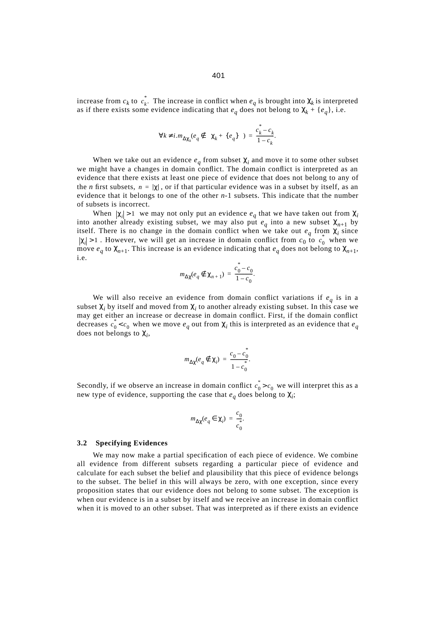increase from  $c_k$  to  $c_k^*$ . The increase in conflict when  $e_q$  is brought into  $\chi_k$  is interpreted as if there exists some evidence indicating that  $e_q$  does not belong to  $\chi_k + \{e_q\}$ , i.e.

$$
\forall k \neq i . m_{\Delta \chi_k} (e_q \not\in \left( \chi_k + \{e_q\} \ \right)) \, = \, \frac{c_k^* - c_k}{1 - c_k}.
$$

When we take out an evidence  $e_q$  from subset  $\chi_i$  and move it to some other subset we might have a changes in domain conflict. The domain conflict is interpreted as an evidence that there exists at least one piece of evidence that does not belong to any of the *n* first subsets,  $n = |\chi|$ , or if that particular evidence was in a subset by itself, as an evidence that it belongs to one of the other *n*-1 subsets. This indicate that the number of subsets is incorrect.

When  $|\chi_i| > 1$  we may not only put an evidence  $e_q$  that we have taken out from  $\chi_i$ into another already existing subset, we may also put  $e_q$  into a new subset  $\chi_{n+1}$  by itself. There is no change in the domain conflict when we take out  $e_q$  from  $\chi_i$  since  $\chi_i$  > 1. However, we will get an increase in domain conflict from  $c_0$  to  $c_0^i$  when we move  $e_q$  to  $\chi_{n+1}$ . This increase is an evidence indicating that  $e_q$  does not belong to  $\chi_{n+1}$ , i.e.

$$
m_{\Delta \chi} (e_q \notin \chi_{n+1}) = \frac{c_0^* - c_0}{1 - c_0}.
$$

We will also receive an evidence from domain conflict variations if  $e_q$  is in a subset  $\chi_i$  by itself and moved from  $\chi_i$  to another already existing subset. In this case we may get either an increase or decrease in domain conflict. First, if the domain conflict decreases  $c_0^* < c_0$  when we move  $e_q$  out from  $\chi_i$  this is interpreted as an evidence that  $e_q$ does not belongs to χ*i*,

$$
m_{\Delta\chi}(e_q\!\not\in\chi_i)=\frac{c_0-c_0^*}{1-c_0^*}.
$$

Secondly, if we observe an increase in domain conflict  $c_0^* > c_0$  we will interpret this as a new type of evidence, supporting the case that  $e_q$  does belong to  $\chi_i$ ;

$$
m_{\Delta \chi} (e_q \in \chi_i) = \frac{c_0}{c_0}.
$$

#### **3.2 Specifying Evidences**

We may now make a partial specification of each piece of evidence. We combine all evidence from different subsets regarding a particular piece of evidence and calculate for each subset the belief and plausibility that this piece of evidence belongs to the subset. The belief in this will always be zero, with one exception, since every proposition states that our evidence does not belong to some subset. The exception is when our evidence is in a subset by itself and we receive an increase in domain conflict when it is moved to an other subset. That was interpreted as if there exists an evidence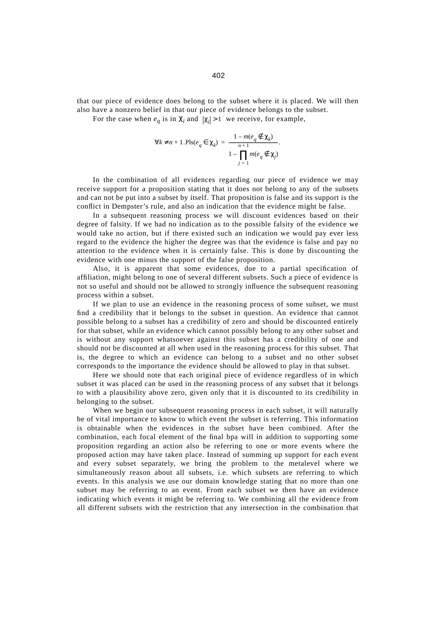For the case when  $e_q$  is in  $\chi_i$  and  $|\chi_i| > 1$  we receive, for example,

$$
\forall k \neq n+1. \text{PIs}(e_q \in \chi_k) = \frac{1 - m(e_q \notin \chi_k)}{1 - \prod_{j=1}^{n+1} m(e_q \notin \chi_j)}.
$$

In the combination of all evidences regarding our piece of evidence we may receive support for a proposition stating that it does not belong to any of the subsets and can not be put into a subset by itself. That proposition is false and its support is the conflict in Dempster's rule, and also an indication that the evidence might be false.

In a subsequent reasoning process we will discount evidences based on their degree of falsity. If we had no indication as to the possible falsity of the evidence we would take no action, but if there existed such an indication we would pay ever less regard to the evidence the higher the degree was that the evidence is false and pay no attention to the evidence when it is certainly false. This is done by discounting the evidence with one minus the support of the false proposition.

Also, it is apparent that some evidences, due to a partial specification of affiliation, might belong to one of several different subsets. Such a piece of evidence is not so useful and should not be allowed to strongly influence the subsequent reasoning process within a subset.

If we plan to use an evidence in the reasoning process of some subset, we must find a credibility that it belongs to the subset in question. An evidence that cannot possible belong to a subset has a credibility of zero and should be discounted entirely for that subset, while an evidence which cannot possibly belong to any other subset and is without any support whatsoever against this subset has a credibility of one and should not be discounted at all when used in the reasoning process for this subset. That is, the degree to which an evidence can belong to a subset and no other subset corresponds to the importance the evidence should be allowed to play in that subset.

Here we should note that each original piece of evidence regardless of in which subset it was placed can be used in the reasoning process of any subset that it belongs to with a plausibility above zero, given only that it is discounted to its credibility in belonging to the subset.

When we begin our subsequent reasoning process in each subset, it will naturally be of vital importance to know to which event the subset is referring. This information is obtainable when the evidences in the subset have been combined. After the combination, each focal element of the final bpa will in addition to supporting some proposition regarding an action also be referring to one or more events where the proposed action may have taken place. Instead of summing up support for each event and every subset separately, we bring the problem to the metalevel where we simultaneously reason about all subsets, i.e. which subsets are referring to which events. In this analysis we use our domain knowledge stating that no more than one subset may be referring to an event. From each subset we then have an evidence indicating which events it might be referring to. We combining all the evidence from all different subsets with the restriction that any intersection in the combination that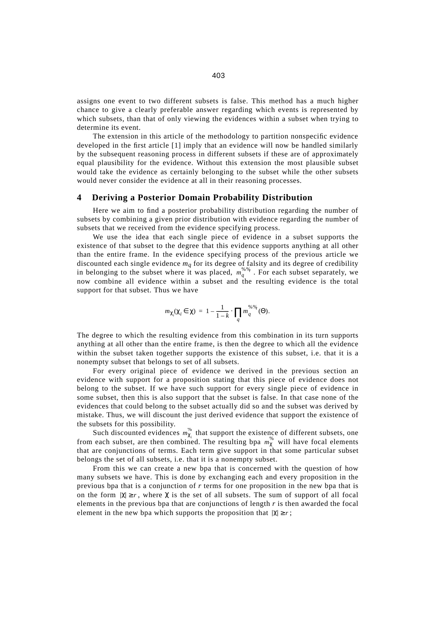assigns one event to two different subsets is false. This method has a much higher chance to give a clearly preferable answer regarding which events is represented by which subsets, than that of only viewing the evidences within a subset when trying to determine its event.

The extension in this article of the methodology to partition nonspecific evidence developed in the first article [1] imply that an evidence will now be handled similarly by the subsequent reasoning process in different subsets if these are of approximately equal plausibility for the evidence. Without this extension the most plausible subset would take the evidence as certainly belonging to the subset while the other subsets would never consider the evidence at all in their reasoning processes.

## **4 Deriving a Posterior Domain Probability Distribution**

Here we aim to find a posterior probability distribution regarding the number of subsets by combining a given prior distribution with evidence regarding the number of subsets that we received from the evidence specifying process.

We use the idea that each single piece of evidence in a subset supports the existence of that subset to the degree that this evidence supports anything at all other than the entire frame. In the evidence specifying process of the previous article we discounted each single evidence  $m_q$  for its degree of falsity and its degree of credibility in belonging to the subset where it was placed,  $m_q^{\gamma_6\gamma_6}$ . For each subset separately, we now combine all evidence within a subset and the resulting evidence is the total support for that subset. Thus we have

$$
m_{\chi_i}(\chi_i \in \chi) = 1 - \frac{1}{1-k} \cdot \prod_q m_q^{\frac{96}{99}}(\Theta).
$$

The degree to which the resulting evidence from this combination in its turn supports anything at all other than the entire frame, is then the degree to which all the evidence within the subset taken together supports the existence of this subset, i.e. that it is a nonempty subset that belongs to set of all subsets.

For every original piece of evidence we derived in the previous section an evidence with support for a proposition stating that this piece of evidence does not belong to the subset. If we have such support for every single piece of evidence in some subset, then this is also support that the subset is false. In that case none of the evidences that could belong to the subset actually did so and the subset was derived by mistake. Thus, we will discount the just derived evidence that support the existence of the subsets for this possibility.

Such discounted evidences  $m_{\chi_i}^{\%}$  that support the existence of different subsets, one from each subset, are then combined. The resulting bpa  $m_{\chi}^{\%}$  will have focal elements that are conjunctions of terms. Each term give support in that some particular subset belongs the set of all subsets, i.e. that it is a nonempty subset.

From this we can create a new bpa that is concerned with the question of how many subsets we have. This is done by exchanging each and every proposition in the previous bpa that is a conjunction of *r* terms for one proposition in the new bpa that is on the form  $|\chi| \ge r$ , where  $\chi$  is the set of all subsets. The sum of support of all focal elements in the previous bpa that are conjunctions of length *r* is then awarded the focal element in the new bpa which supports the proposition that  $|\chi| \ge r$ ;